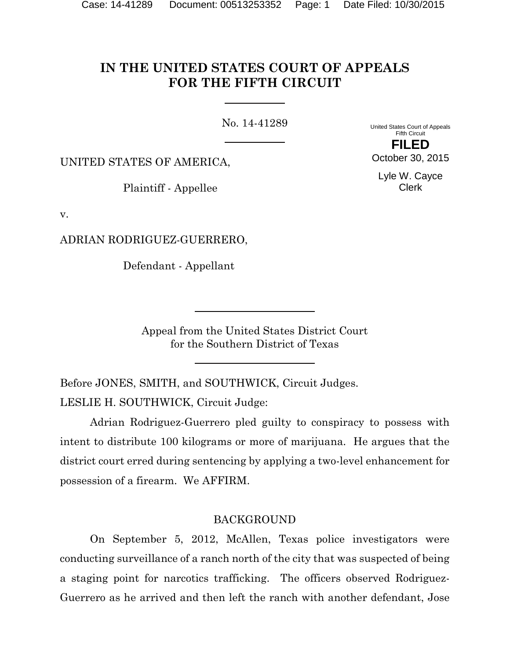# **IN THE UNITED STATES COURT OF APPEALS FOR THE FIFTH CIRCUIT**

No. 14-41289

United States Court of Appeals Fifth Circuit

UNITED STATES OF AMERICA,

Plaintiff - Appellee

v.

ADRIAN RODRIGUEZ-GUERRERO,

Defendant - Appellant

Appeal from the United States District Court for the Southern District of Texas

Before JONES, SMITH, and SOUTHWICK, Circuit Judges.

LESLIE H. SOUTHWICK, Circuit Judge:

Adrian Rodriguez-Guerrero pled guilty to conspiracy to possess with intent to distribute 100 kilograms or more of marijuana. He argues that the district court erred during sentencing by applying a two-level enhancement for possession of a firearm. We AFFIRM.

# BACKGROUND

On September 5, 2012, McAllen, Texas police investigators were conducting surveillance of a ranch north of the city that was suspected of being a staging point for narcotics trafficking. The officers observed Rodriguez-Guerrero as he arrived and then left the ranch with another defendant, Jose

**FILED**

October 30, 2015

Lyle W. Cayce Clerk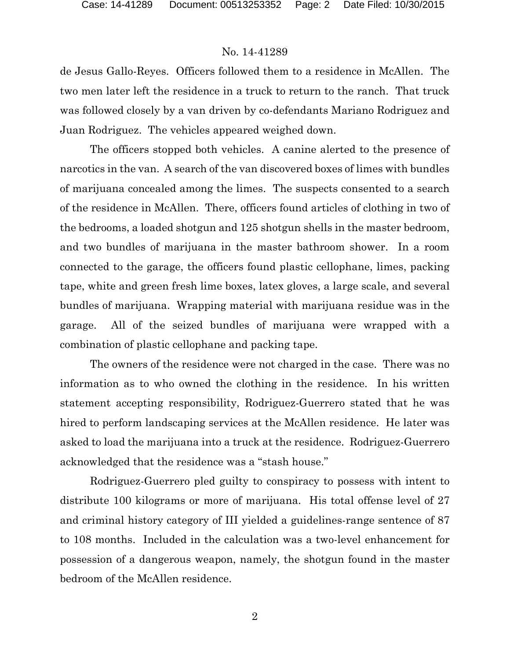de Jesus Gallo-Reyes. Officers followed them to a residence in McAllen. The two men later left the residence in a truck to return to the ranch. That truck was followed closely by a van driven by co-defendants Mariano Rodriguez and Juan Rodriguez. The vehicles appeared weighed down.

The officers stopped both vehicles. A canine alerted to the presence of narcotics in the van. A search of the van discovered boxes of limes with bundles of marijuana concealed among the limes. The suspects consented to a search of the residence in McAllen. There, officers found articles of clothing in two of the bedrooms, a loaded shotgun and 125 shotgun shells in the master bedroom, and two bundles of marijuana in the master bathroom shower. In a room connected to the garage, the officers found plastic cellophane, limes, packing tape, white and green fresh lime boxes, latex gloves, a large scale, and several bundles of marijuana. Wrapping material with marijuana residue was in the garage. All of the seized bundles of marijuana were wrapped with a combination of plastic cellophane and packing tape.

The owners of the residence were not charged in the case. There was no information as to who owned the clothing in the residence. In his written statement accepting responsibility, Rodriguez-Guerrero stated that he was hired to perform landscaping services at the McAllen residence. He later was asked to load the marijuana into a truck at the residence. Rodriguez-Guerrero acknowledged that the residence was a "stash house."

Rodriguez-Guerrero pled guilty to conspiracy to possess with intent to distribute 100 kilograms or more of marijuana. His total offense level of 27 and criminal history category of III yielded a guidelines-range sentence of 87 to 108 months. Included in the calculation was a two-level enhancement for possession of a dangerous weapon, namely, the shotgun found in the master bedroom of the McAllen residence.

2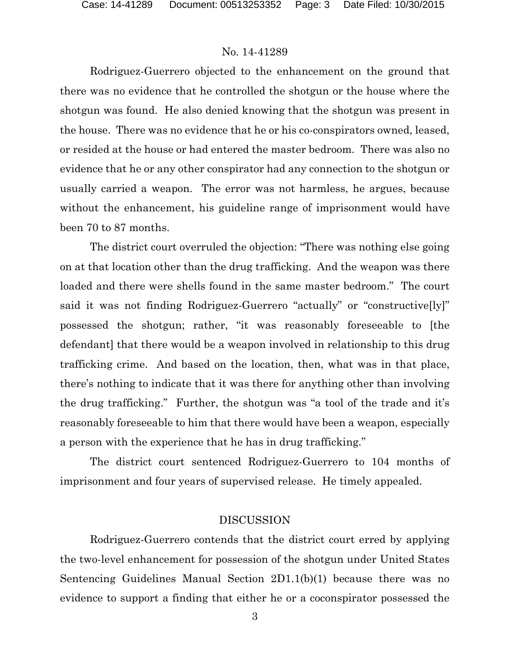Rodriguez-Guerrero objected to the enhancement on the ground that there was no evidence that he controlled the shotgun or the house where the shotgun was found. He also denied knowing that the shotgun was present in the house. There was no evidence that he or his co-conspirators owned, leased, or resided at the house or had entered the master bedroom. There was also no evidence that he or any other conspirator had any connection to the shotgun or usually carried a weapon. The error was not harmless, he argues, because without the enhancement, his guideline range of imprisonment would have been 70 to 87 months.

The district court overruled the objection: "There was nothing else going on at that location other than the drug trafficking. And the weapon was there loaded and there were shells found in the same master bedroom." The court said it was not finding Rodriguez-Guerrero "actually" or "constructive[ly]" possessed the shotgun; rather, "it was reasonably foreseeable to [the defendant] that there would be a weapon involved in relationship to this drug trafficking crime. And based on the location, then, what was in that place, there's nothing to indicate that it was there for anything other than involving the drug trafficking." Further, the shotgun was "a tool of the trade and it's reasonably foreseeable to him that there would have been a weapon, especially a person with the experience that he has in drug trafficking."

The district court sentenced Rodriguez-Guerrero to 104 months of imprisonment and four years of supervised release. He timely appealed.

#### DISCUSSION

Rodriguez-Guerrero contends that the district court erred by applying the two-level enhancement for possession of the shotgun under United States Sentencing Guidelines Manual Section 2D1.1(b)(1) because there was no evidence to support a finding that either he or a coconspirator possessed the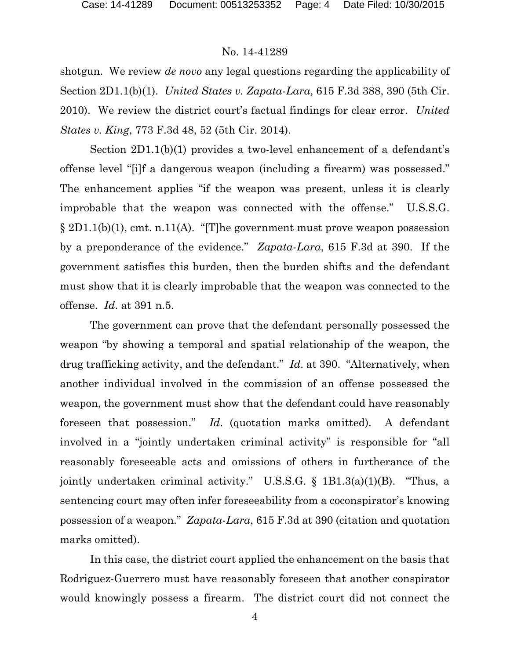shotgun. We review *de novo* any legal questions regarding the applicability of Section 2D1.1(b)(1). *United States v. Zapata-Lara*, 615 F.3d 388, 390 (5th Cir. 2010). We review the district court's factual findings for clear error. *United States v. King*, 773 F.3d 48, 52 (5th Cir. 2014).

Section 2D1.1(b)(1) provides a two-level enhancement of a defendant's offense level "[i]f a dangerous weapon (including a firearm) was possessed." The enhancement applies "if the weapon was present, unless it is clearly improbable that the weapon was connected with the offense." U.S.S.G. § 2D1.1(b)(1), cmt. n.11(A). "[T]he government must prove weapon possession by a preponderance of the evidence." *Zapata-Lara*, 615 F.3d at 390. If the government satisfies this burden, then the burden shifts and the defendant must show that it is clearly improbable that the weapon was connected to the offense. *Id*. at 391 n.5.

The government can prove that the defendant personally possessed the weapon "by showing a temporal and spatial relationship of the weapon, the drug trafficking activity, and the defendant." *Id*. at 390. "Alternatively, when another individual involved in the commission of an offense possessed the weapon, the government must show that the defendant could have reasonably foreseen that possession." *Id*. (quotation marks omitted). A defendant involved in a "jointly undertaken criminal activity" is responsible for "all reasonably foreseeable acts and omissions of others in furtherance of the jointly undertaken criminal activity." U.S.S.G. § 1B1.3(a)(1)(B). "Thus, a sentencing court may often infer foreseeability from a coconspirator's knowing possession of a weapon." *Zapata-Lara*, 615 F.3d at 390 (citation and quotation marks omitted).

In this case, the district court applied the enhancement on the basis that Rodriguez-Guerrero must have reasonably foreseen that another conspirator would knowingly possess a firearm. The district court did not connect the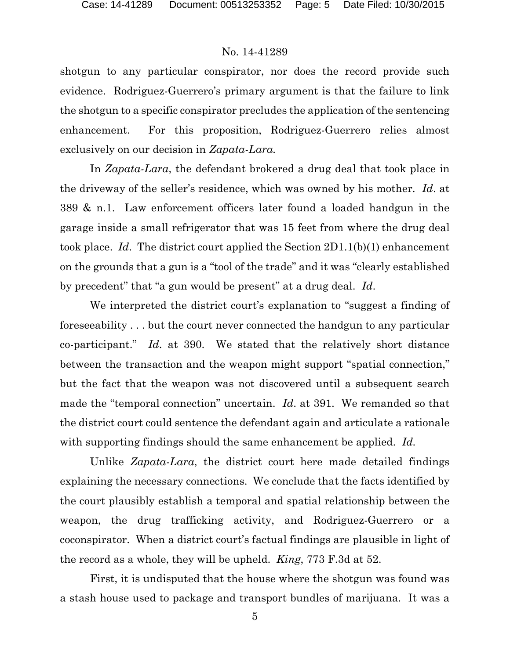shotgun to any particular conspirator, nor does the record provide such evidence. Rodriguez-Guerrero's primary argument is that the failure to link the shotgun to a specific conspirator precludes the application of the sentencing enhancement. For this proposition, Rodriguez-Guerrero relies almost exclusively on our decision in *Zapata-Lara.*

In *Zapata-Lara*, the defendant brokered a drug deal that took place in the driveway of the seller's residence, which was owned by his mother. *Id*. at 389 & n.1. Law enforcement officers later found a loaded handgun in the garage inside a small refrigerator that was 15 feet from where the drug deal took place. *Id*. The district court applied the Section 2D1.1(b)(1) enhancement on the grounds that a gun is a "tool of the trade" and it was "clearly established by precedent" that "a gun would be present" at a drug deal. *Id*.

We interpreted the district court's explanation to "suggest a finding of foreseeability . . . but the court never connected the handgun to any particular co-participant." *Id*. at 390. We stated that the relatively short distance between the transaction and the weapon might support "spatial connection," but the fact that the weapon was not discovered until a subsequent search made the "temporal connection" uncertain. *Id*. at 391. We remanded so that the district court could sentence the defendant again and articulate a rationale with supporting findings should the same enhancement be applied. *Id.*

Unlike *Zapata-Lara*, the district court here made detailed findings explaining the necessary connections. We conclude that the facts identified by the court plausibly establish a temporal and spatial relationship between the weapon, the drug trafficking activity, and Rodriguez-Guerrero or a coconspirator. When a district court's factual findings are plausible in light of the record as a whole, they will be upheld. *King*, 773 F.3d at 52.

First, it is undisputed that the house where the shotgun was found was a stash house used to package and transport bundles of marijuana. It was a